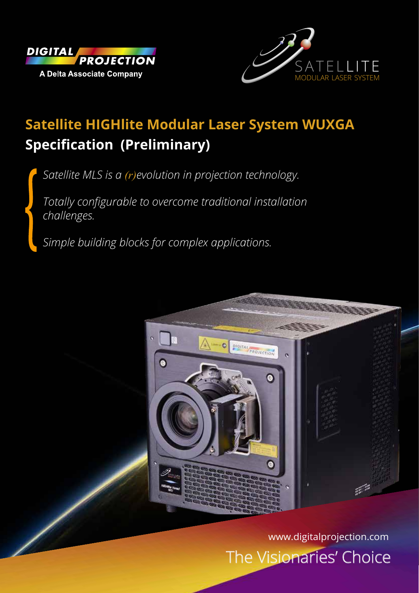



# **Satellite HIGHlite Modular Laser System WUXGA Specification (Preliminary)**

*Satellite MLS is a (r)evolution in projection technology.* 

*Totally configurable to overcome traditional installation challenges.* 

*Simple building blocks for complex applications.*



The Visionaries' Choice www.digitalprojection.com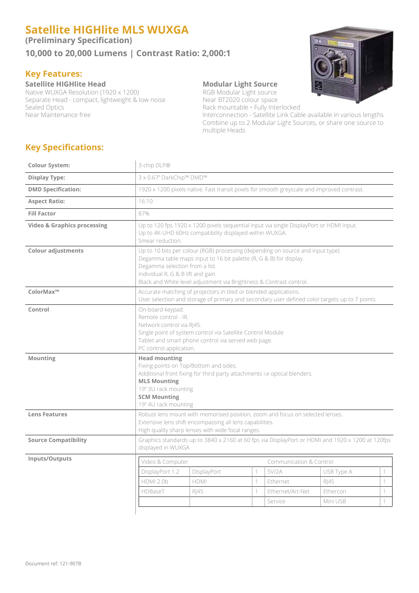# **Satellite HIGHlite MLS WUXGA**

**(Preliminary Specification)**

**10,000 to 20,000 Lumens | Contrast Ratio: 2,000:1**

## **Key Features:**

**Satellite HIGHlite Head Modular Light Source**<br>
Native WUXGA Resolution (1920 x 1200) RGB Modular Light source Native WUXGA Resolution (1920 x 1200) RGB Modular Light source<br>Separate Head - compact, lightweight & low noise Near BT2020 colour space Separate Head - compact, lightweight & low noise<br>Sealed Optics Sealed Optics<br>
Near Maintenance free Sealed Contract in the Rack mountable • Fully Interlocked<br>
Interconnection - Satellite Link Cab

Interconnection - Satellite Link Cable available in various lengths Combine up to 2 Modular Light Sources, or share one source to multiple Heads

## **Key Specifications:**

| 3-chip DLP®                                                                                                                                                                                                                                                                                          |             |                                                                     |                  |            |                  |  |
|------------------------------------------------------------------------------------------------------------------------------------------------------------------------------------------------------------------------------------------------------------------------------------------------------|-------------|---------------------------------------------------------------------|------------------|------------|------------------|--|
| 3 x 0.67" DarkChip™ DMD™                                                                                                                                                                                                                                                                             |             |                                                                     |                  |            |                  |  |
| 1920 x 1200 pixels native. Fast transit pixels for smooth greyscale and improved contrast.                                                                                                                                                                                                           |             |                                                                     |                  |            |                  |  |
| 16:10                                                                                                                                                                                                                                                                                                |             |                                                                     |                  |            |                  |  |
| 87%                                                                                                                                                                                                                                                                                                  |             |                                                                     |                  |            |                  |  |
| Up to 120 fps 1920 x 1200 pixels sequential input via single DisplayPort or HDMI input.<br>Up to 4K-UHD 60Hz compatibility displayed within WUXGA.<br>Smear reduction.                                                                                                                               |             |                                                                     |                  |            |                  |  |
| Up to 10 bits per colour (RGB) processing (depending on source and input type).<br>Degamma table maps input to 16 bit palette (R, G & B) for display.<br>Degamma selection from a list.<br>Individual R, G & B lift and gain.<br>Black and White level adjustment via Brightness & Contrast control. |             |                                                                     |                  |            |                  |  |
| Accurate matching of projectors in tiled or blended applications.<br>User selection and storage of primary and secondary user defined color targets up to 7 points.                                                                                                                                  |             |                                                                     |                  |            |                  |  |
| On-board keypad.<br>Remote control - IR.<br>Network control via RJ45.<br>Single point of system control via Satellite Control Module<br>Tablet and smart phone control via served web page.                                                                                                          |             |                                                                     |                  |            |                  |  |
| <b>Head mounting</b><br>Fixing points on Top/Bottom and sides.<br>Additional front fixing for third party attachments i.e optical blenders.<br><b>MLS Mounting</b><br>19" 3U rack mounting<br><b>SCM Mounting</b>                                                                                    |             |                                                                     |                  |            |                  |  |
| Robust lens mount with memorised position, zoom and focus on selected lenses.<br>Extensive lens shift encompassing all lens capabilities.<br>High quality sharp lenses with wide focal ranges.                                                                                                       |             |                                                                     |                  |            |                  |  |
| Graphics standards up to 3840 x 2160 at 60 fps via DisplayPort or HDMI and 1920 x 1200 at 120fps<br>displayed in WUXGA                                                                                                                                                                               |             |                                                                     |                  |            |                  |  |
| Communication & Control                                                                                                                                                                                                                                                                              |             |                                                                     |                  |            |                  |  |
| DisplayPort 1.2                                                                                                                                                                                                                                                                                      | DisplayPort | 1                                                                   | 5V/2A            | USB Type A | 1                |  |
| <b>HDMI 2.0b</b>                                                                                                                                                                                                                                                                                     | <b>HDMI</b> | 1                                                                   | Ethernet         | R 45       | $\left( \right)$ |  |
| HDBaseT                                                                                                                                                                                                                                                                                              | <b>RJ45</b> | 1                                                                   | Ethernet/Art-Net | Ethercon   | 1                |  |
|                                                                                                                                                                                                                                                                                                      |             |                                                                     | Service          | Mini USB   | 1                |  |
|                                                                                                                                                                                                                                                                                                      |             | PC control application.<br>19" 4U rack mounting<br>Video & Computer |                  |            |                  |  |